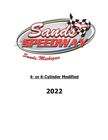

# **4- or 6-Cylinder Modified**

# **2022**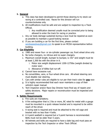#### **1. General**

- a. This class has been developed to permit those desiring to try stock car racing at a controlled cost. Races for this division will run counterclockwise only.
- b. All modifications must be safe and are subject to inspection by a Track Official.
	- i. Any modification deemed unsafe must be corrected prior to being allowed to enter the track for racing or practice.
- c. Any car body damage sustained during a race must be repaired as soon as possible to maintain a good-looking racecar.
- d. If you are building a car for the first time, please contact [sandsspeedway@gmail.com](mailto:sandsspeedway@gmail.com) to speak to an MCDA representative before building.

#### **2. Car Eligibility**

- a. 1980 and newer four- or six-cylinder passenger car, front wheel drive only
- b. No turbo chargers, no nitrous and no super chargers.
- c. Maximum overall length, bumper to bumper, is 192" and weight must be at least 2,300 lbs with the driver in it.
	- i. Motor size weight displacement 1200-1275lbs (weight divided by motor size)
	- ii. Allowance of 60lbs fuel run-off.
- d. Cannot have excessive rust.
- e. No convertibles, vans, or four-wheel drive cars. All-wheel steering cars must disable rear steering.
- f. Cars with similar rules are eligible to run per their track rules for **one** race
- g. It is highly recommended that each racer maintains a copy of their vehicle's repair manual
- h. Tech Inspector and/or Race Day Director have final say of repairs and safety decisions. Major repairs or reconstruction must be inspected and approved.

#### **3. Safety Requirements**

- a. Fire suits are mandatory.
- b. A fire extinguisher that is 2 lbs or more, BC rated for metal with a gauge must be mounted in a quick release bracket and is required to be within reach of the driver.
- c. A racing seat is required and must be attached to the roll cage and bracket with no less than 4 bolts.
- d. A 4-point seatbelt is required but a 5-point harness is recommended. Belts must not be older than 5 years.
- e. All helmets and bolts are required to have a date tag and must pass an inspection by the Tech Inspector or other Track Official.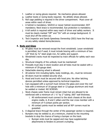- f. Leather or racing gloves required. No mechanics gloves allowed.
- g. Leather boots or racing boots required. No athletic shoes allowed.
- h. Roll cage padding is required in the driver compartment. Must cover all areas within reach of driver.
- i. A helmet is mandatory. SA2010 or newer helmet recommended. DOT mandatory. Neck brace is recommended. Eye protection is mandatory.
- j. A kill switch is required within easy reach of driver and safety workers. It must be clearly marked "Off" and "On" with an orange background. It must shut off the entire car.
- k. Tech Inspector and Sands Speedway Ownership (SSO) have the final say on any safety related items/decisions.

#### **4. Body and Glass**

- a. All glass must be removed except the front windshield. Lexan windshield is permitted, but if used, it must include bracing with a minimum of two 1/8" thick by ¾" steel angle iron, for safety and support.
- b. Windshield cracks must be inspected by track officials for safety each race day.
- c. Structural integrity of the unibody must be maintained!
- d. Firewalls must stay in stock location and all holes must be sealed with a minimum of 20-gauge steel.
- e. Detachable steering wheel is allowed.
- f. All exterior trim including lights, body moldings, etc., must be removed.
- g. All doors must be welded securely shut.
- h. Hood and trunk must be secured with hood pins. No other latching devices permitted unless approved by technical inspection.
- i. Cars equipped with a sunroof must remove the glass and cover the roof hole with a minimum of 16-gauge steel or 12-gauge aluminum and must be welded or riveted. NO SCREWS.
- j. Stock chassis outer frame must remain intact but are allowed to be reinforced with a minimum of 1 ½" by 2" tubing .065" wall thickness.
	- i. All reinforcement must connect to the stock chassis at the stock engine cradle, A, B and C pillars and the rear cross member with a minimum of 4 contact points per section.
	- ii. All contact points must be welded and all  $90<sup>o</sup>$  corners must be gusseted.
- k. A diagonal brace through the center of the passenger section is required.
- l. Bumpers may be welded or, at a minimum, chained to the mounting brackets to stop the chance of losing a bumper on the track.
	- i. Bumper ends must be capped and may have supplemental attachments to fenders to prevent crumpling.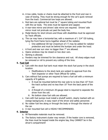- m. A tow cable, hooks or chains must be attached to the front and rear in case of towing. They must be strong enough for the car's quick removal from the track. Commercial tow loops are allowed.
- n. Rub bars are optional but must be 1" square tubing and mounted flush with the car body. The ends must be tapered and capped.
- o. A rear-view mirror and drivers' side mirror are required. Drivers' side mirror must not protrude out past the body line.
- p. Pedal blocks for short drivers and those with disabilities must be approved by Track officials.
- q. The car may have a horizontal bar, with a maximum of 1 3/4" OD tubing, tying the front frame horns together ahead of the radiator.
	- i. One additional OD bar (maximum of 1") may be added for radiator protection and must be behind the bumper and under the hood.
- r. A front and rear sun visor no bigger than 7" are allowed.
- s. Opera windows may be closed on two door cars.
- t. Skirting is allowed.
- u. Fenders may be trimmed for tire clearance and rust. All sharp edges must be removed or roll to prevent any cutting of the tires.

#### **5. Fuel Cell**

- a. Cars with the stock fuel tank must retain the stock fuel pump in the stock location.
	- i. Modifications to the stock tank are subject to approval from the Tech Inspector or other Track Official for safety.
- b. Cars without fuel pumps are required to have a fuel cell with a minimum capacity of 8 gallons.
	- i. It must be mounted behind the rear axle to no less than 10" from the track surface and no less than 10" from the back panel of the car.
	- ii. A firewall of a minimum 20-gauge steel is required to separate the driver from the cell.
	- iii. No bottom draw fuel cells are allowed.
- c. Cars with fuel pumps must install a shutoff switch, clearly marked with an orange background, in easy reach of the driver and safety personnel.
- d. No rubber fuel line along or through the body or through the interior of the car.
- e. A rear mounted fuel cell is HIGHLY RECOMMENDED.

#### **6. Interior**

- a. All flammable materials must be removed.
- b. The factory instrument cluster may remain. If the heater core is removed, the lines must be looped inside the engine bay, they CANNOT be in the driver's compartment!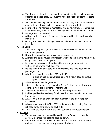- c. The driver's seat must be changed to an aluminum, high-back racing seat attached to the roll cage, NOT just the floor. No plastic or fiberglass seats are allowed.
- d. Window nets are required on driver's window. They must be installed on a quick detach device such as a mounting kit or seatbelt latch.
- e. Four-point racing harness is mandatory, five-point strongly recommended. Must be securely mounted to the roll cage. Belts must not be out of date.
- f. Air bags must be removed.
- g. All holes in the floor and firewall must be covered by steel and securely mounted.
- h. Gutting is allowed for roll cage clearance only but must keep structural integrity.

#### **7. Roll Cage**

- a. Six-point racing roll cage MINIMUM with a one-piece main hoop behind the drivers' position.
- b. Driver door protection and a halo bar are required.
- c. All mounting points must be completely welded to the chassis with a 4" by 4" by 0.125" steel contact plate.
- d. Door bars must come to the driver side skin and gusseted with two vertical bars between each door bar.
- e. No less than three door bars on the driver side and tube door bars on passenger side.
- f. All roll cage material must be 1 ¾" by .095".
	- i. No pipe fittings, no galvanized pipe, no exhaust pope or conduit pipe is allowed.
- g. All 90<sup>°</sup> corners must be qusseted.
- h. 1/8" steel plate required between the A and B pillars on the driver side door bars from top to bottom of rocker panel.
- i. All welds must be electrical, must look safe and professional.
- j. Roll bar padding is mandatory for all bars that may come in contact with the driver.
- k. A 5/16" hole must be drilled in each outbreak of the main hoop for inspection.
- 1. All cars must have a  $1\frac{3}{4}$ " by .095" minimum size bar running from the roll cage to the strut tower on each side.
- m. A bar from the strut tower to the front bumper is also recommended.

#### **8. Battery**

- a. The battery must be relocated behind the driver's seat and must be securely mounted with steel-to-steel tie down.
- b. Batteries must be in a plastic or steel case of sufficient size to hold the entire acid content of the battery in case of rollover.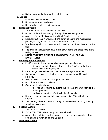c. Batteries cannot be lowered through the floor.

#### **9. Brakes**

- a. Must have all four working brakes.
- b. No emergency brakes allowed.
- c. No individual shut off devices allowed.

#### **10. Exhaust System**

- a. Aftermarket mufflers and headers are allowed.
- b. No part of the exhaust may go through the driver compartment.
- c. Any loss of a muffler is cause for a Black Flag to be given.
- d. Exhaust must remain underneath the car at all points and must exit on passenger side, driver side or from the rear of the vehicle.
- e. It is discouraged to run the exhaust in the direction of fuel lines or the fuel tank.
- f. The finished exhaust must have a turn down at the end that points at the racing surface.

#### g. **MUFFLERS MUST BE UNDER 100 DECIBALS at 100'! NO EXCEPTIONS!**

#### **11. Steering and Suspension**

- a. Modifications to the suspension is allowed per the following:
	- i. Minimum ride height must not be less that  $4\frac{1}{2}$  from the track surface with the driver inside.
- b. Race springs may be heat cut. Use of race springs is permitted.
- c. Shocks must be stock, or stock-style race shocks mounted in stock brackets.
- d. Weight jacking buckets or screw jacks are allowed.
- e. NO bolt type screw jacks allowed.
- f. Camber of tires is allowed.
	- i. No lowering or raising by cutting the brackets of any support of the camber permitted.
	- ii. Hondas are permitted offset ball joints for camber.
- g. Rear axles can be changed but must maintain  $+/- 2$ " in width to the original.
- h. The steering wheel and assembly may be replaced with a racing steering wheel and assembly.

## **12. Cooling System**

- a. Any radiators allowed.
- b. NO ANTIFREEZE! Water pump lubricant allowed.
- c. An overflow container must be mounted in the engine compartment and able to hold a minimum of one US quart.

### **13. Tires and Wheels**